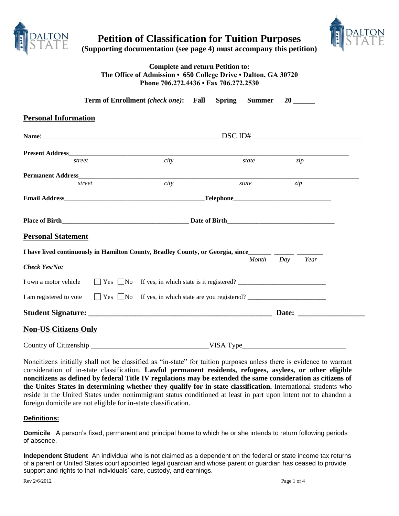

**Petition of Classification for Tuition Purposes**



**(Supporting documentation (see page 4) must accompany this petition)**

# **Complete and return Petition to: The Office of Admission • 650 College Drive • Dalton, GA 30720 Phone 706.272.4436 • Fax 706.272.2530**

|                                                                                                                                                                                                                                      | Term of Enrollment (check one): Fall                                             | <b>Spring</b><br><b>Summer</b> |                   |  |
|--------------------------------------------------------------------------------------------------------------------------------------------------------------------------------------------------------------------------------------|----------------------------------------------------------------------------------|--------------------------------|-------------------|--|
| <b>Personal Information</b>                                                                                                                                                                                                          |                                                                                  |                                |                   |  |
|                                                                                                                                                                                                                                      |                                                                                  |                                |                   |  |
|                                                                                                                                                                                                                                      |                                                                                  |                                |                   |  |
| street                                                                                                                                                                                                                               | city                                                                             | state                          | zip               |  |
|                                                                                                                                                                                                                                      |                                                                                  |                                |                   |  |
| street                                                                                                                                                                                                                               | $\overline{city}$                                                                | state                          | zip               |  |
| <b>Email Address Felephone Contract Contract Contract Contract Contract Contract Contract Contract Contract Contract Contract Contract Contract Contract Contract Contract Contract Contract Contract Contract Contract Contract</b> |                                                                                  |                                |                   |  |
|                                                                                                                                                                                                                                      |                                                                                  |                                |                   |  |
| <b>Personal Statement</b>                                                                                                                                                                                                            |                                                                                  |                                |                   |  |
| I have lived continuously in Hamilton County, Bradley County, or Georgia, since_______________________________                                                                                                                       |                                                                                  |                                |                   |  |
| Check Yes/No:                                                                                                                                                                                                                        |                                                                                  |                                | Year<br>Month Day |  |
| I own a motor vehicle                                                                                                                                                                                                                | □ Yes □No If yes, in which state is it registered? _____________________________ |                                |                   |  |
| I am registered to vote                                                                                                                                                                                                              | □ Yes □No If yes, in which state are you registered? ___________________________ |                                |                   |  |
|                                                                                                                                                                                                                                      |                                                                                  |                                |                   |  |
| <b>Non-US Citizens Only</b>                                                                                                                                                                                                          |                                                                                  |                                |                   |  |
|                                                                                                                                                                                                                                      |                                                                                  | VISA Type                      |                   |  |

Noncitizens initially shall not be classified as "in-state" for tuition purposes unless there is evidence to warrant consideration of in-state classification. **Lawful permanent residents, refugees, asylees, or other eligible noncitizens as defined by federal Title IV regulations may be extended the same consideration as citizens of the Unites States in determining whether they qualify for in-state classification.** International students who reside in the United States under nonimmigrant status conditioned at least in part upon intent not to abandon a foreign domicile are not eligible for in-state classification.

### **Definitions:**

**Domicile** A person's fixed, permanent and principal home to which he or she intends to return following periods of absence.

**Independent Student** An individual who is not claimed as a dependent on the federal or state income tax returns of a parent or United States court appointed legal guardian and whose parent or guardian has ceased to provide support and rights to that individuals' care, custody, and earnings.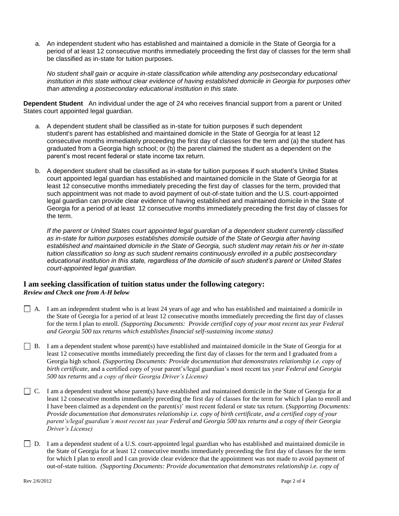a. An independent student who has established and maintained a domicile in the State of Georgia for a period of at least 12 consecutive months immediately proceeding the first day of classes for the term shall be classified as in-state for tuition purposes.

*No student shall gain or acquire in-state classification while attending any postsecondary educational institution in this state without clear evidence of having established domicile in Georgia for purposes other than attending a postsecondary educational institution in this state.*

**Dependent Student** An individual under the age of 24 who receives financial support from a parent or United States court appointed legal guardian.

- a. A dependent student shall be classified as in-state for tuition purposes if such dependent student's parent has established and maintained domicile in the State of Georgia for at least 12 consecutive months immediately proceeding the first day of classes for the term and (a) the student has graduated from a Georgia high school; or (b) the parent claimed the student as a dependent on the parent's most recent federal or state income tax return.
- b. A dependent student shall be classified as in-state for tuition purposes if such student's United States court appointed legal guardian has established and maintained domicile in the State of Georgia for at least 12 consecutive months immediately preceding the first day of classes for the term, provided that such appointment was not made to avoid payment of out-of-state tuition and the U.S. court-appointed legal guardian can provide clear evidence of having established and maintained domicile in the State of Georgia for a period of at least 12 consecutive months immediately preceding the first day of classes for the term.

*If the parent or United States court appointed legal guardian of a dependent student currently classified as in-state for tuition purposes establishes domicile outside of the State of Georgia after having established and maintained domicile in the State of Georgia, such student may retain his or her in-state tuition classification so long as such student remains continuously enrolled in a public postsecondary educational institution in this state, regardless of the domicile of such student's parent or United States court-appointed legal guardian.*

# **I am seeking classification of tuition status under the following category:**  *Review and Check one from A-H below*

- $\Box$  A. I am an independent student who is at least 24 years of age and who has established and maintained a domicile in the State of Georgia for a period of at least 12 consecutive months immediately preceeding the first day of classes for the term I plan to enroll. *(Supporting Documents: Provide certified copy of your most recent tax year Federal and Georgia 500 tax returns which establishes financial self-sustaining income status)*
- B. I am a dependent student whose parent(s) have established and maintained domicile in the State of Georgia for at least 12 consecutive months immediately preceeding the first day of classes for the term and I graduated from a Georgia high school. *(Supporting Documents: Provide documentation that demonstrates relationship i.e. copy of birth certificate,* and a certified copy of your parent's/legal guardian's most recent tax y*ear Federal and Georgia 500 tax returns* and *a copy of their Georgia Driver's License)*
- $\Box$  C. I am a dependent student whose parent(s) have established and maintained domicile in the State of Georgia for at least 12 consecutive months immediately preceding the first day of classes for the term for which I plan to enroll and I have been claimed as a dependent on the parent(s)' most recent federal or state tax return. (*Supporting Documents: Provide documentation that demonstrates relationship i.e. copy of birth certificate, and a certified copy of your parent's/legal guardian's most recent tax year Federal and Georgia 500 tax returns and a copy of their Georgia Driver's License)*
- $\Box$  D. I am a dependent student of a U.S. court-appointed legal guardian who has established and maintained domicile in the State of Georgia for at least 12 consecutive months immediately preceeding the first day of classes for the term for which I plan to enroll and I can provide clear evidence that the appointment was not made to avoid payment of out-of-state tuition. *(Supporting Documents: Provide documentation that demonstrates relationship i.e. copy of*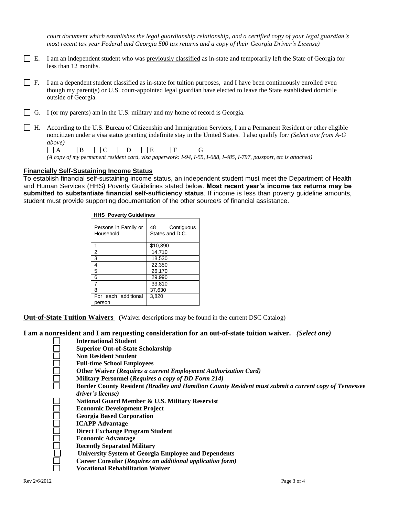*court document which establishes the legal guardianship relationship, and a certified copy of your legal guardian's most recent tax year Federal and Georgia 500 tax returns and a copy of their Georgia Driver's License)*

- $\Box$  E. I am an independent student who was previously classified as in-state and temporarily left the State of Georgia for less than 12 months.
- $\Box$  F. I am a dependent student classified as in-state for tuition purposes, and I have been continuously enrolled even though my parent(s) or U.S. court-appointed legal guardian have elected to leave the State established domicile outside of Georgia.
- $\Box$  G. I (or my parents) am in the U.S. military and my home of record is Georgia.
- H. According to the U.S. Bureau of Citizenship and Immigration Services, I am a Permanent Resident or other eligible noncitizen under a visa status granting indefinite stay in the United States. I also qualify for*: (Select one from A-G above)*

|  |  | $\Box A$ $\Box B$ $\Box C$ $\Box D$ $\Box E$ $\Box F$ $\Box G$ |  |                                                                                                                    |  |  |
|--|--|----------------------------------------------------------------|--|--------------------------------------------------------------------------------------------------------------------|--|--|
|  |  |                                                                |  | (A copy of my permanent resident card, visa paperwork: I-94, I-55, I-688, I-485, I-797, passport, etc is attached) |  |  |

#### **Financially Self-Sustaining Income Status**

To establish financial self-sustaining income status, an independent student must meet the Department of Health and Human Services (HHS) Poverty Guidelines stated below. **Most recent year's income tax returns may be submitted to substantiate financial self-sufficiency status**. If income is less than poverty guideline amounts, student must provide supporting documentation of the other source/s of financial assistance.

| <b>HHS Poverty Guidelines</b>     |                                     |  |  |  |  |
|-----------------------------------|-------------------------------------|--|--|--|--|
| Persons in Family or<br>Household | 48<br>Contiguous<br>States and D.C. |  |  |  |  |
| 1                                 | \$10,890                            |  |  |  |  |
| 2                                 | 14.710                              |  |  |  |  |
| 3                                 | 18,530                              |  |  |  |  |
| 4                                 | 22.350                              |  |  |  |  |
| 5                                 | 26,170                              |  |  |  |  |
| 6                                 | 29.990                              |  |  |  |  |
| 7                                 | 33,810                              |  |  |  |  |
| 8                                 | 37,630                              |  |  |  |  |
| For each additional<br>person     | 3,820                               |  |  |  |  |

**Out-of-State Tuition Waivers (**Waiver descriptions may be found in the current DSC Catalog)

**I am a nonresident and I am requesting consideration for an out-of-state tuition waiver.** *(Select one)*

- **International Student**
	- **Superior Out-of-State Scholarship**
	- **Non Resident Student**
	- **Full-time School Employees**
	- **Other Waiver (***Requires a current Employment Authorization Card)*
	- **Military Personnel (***Requires a copy of DD Form 214)*
	- **Border County Resident** *(Bradley and Hamilton County Resident must submit a current copy of Tennessee driver's license)*
	- **National Guard Member & U.S. Military Reservist**
	- **Economic Development Project**
	- **Georgia Based Corporation**
	- **ICAPP Advantage**
	- **Direct Exchange Program Student**
	- **Economic Advantage**
	- **Recently Separated Military**
	- **University System of Georgia Employee and Dependents**
	- **Career Consular (***Requires an additional application form)*
	- **Vocational Rehabilitation Waiver**